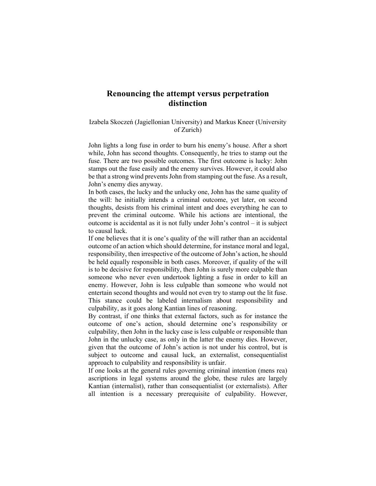## **Renouncing the attempt versus perpetration distinction**

## Izabela Skoczeń (Jagiellonian University) and Markus Kneer (University of Zurich)

John lights a long fuse in order to burn his enemy's house. After a short while, John has second thoughts. Consequently, he tries to stamp out the fuse. There are two possible outcomes. The first outcome is lucky: John stamps out the fuse easily and the enemy survives. However, it could also be that a strong wind prevents John from stamping out the fuse. As a result, John's enemy dies anyway.

In both cases, the lucky and the unlucky one, John has the same quality of the will: he initially intends a criminal outcome, yet later, on second thoughts, desists from his criminal intent and does everything he can to prevent the criminal outcome. While his actions are intentional, the outcome is accidental as it is not fully under John's control – it is subject to causal luck.

If one believes that it is one's quality of the will rather than an accidental outcome of an action which should determine, for instance moral and legal, responsibility, then irrespective of the outcome of John's action, he should be held equally responsible in both cases. Moreover, if quality of the will is to be decisive for responsibility, then John is surely more culpable than someone who never even undertook lighting a fuse in order to kill an enemy. However, John is less culpable than someone who would not entertain second thoughts and would not even try to stamp out the lit fuse. This stance could be labeled internalism about responsibility and culpability, as it goes along Kantian lines of reasoning.

By contrast, if one thinks that external factors, such as for instance the outcome of one's action, should determine one's responsibility or culpability, then John in the lucky case is less culpable or responsible than John in the unlucky case, as only in the latter the enemy dies. However, given that the outcome of John's action is not under his control, but is subject to outcome and causal luck, an externalist, consequentialist approach to culpability and responsibility is unfair.

If one looks at the general rules governing criminal intention (mens rea) ascriptions in legal systems around the globe, these rules are largely Kantian (internalist), rather than consequentialist (or externalists). After all intention is a necessary prerequisite of culpability. However,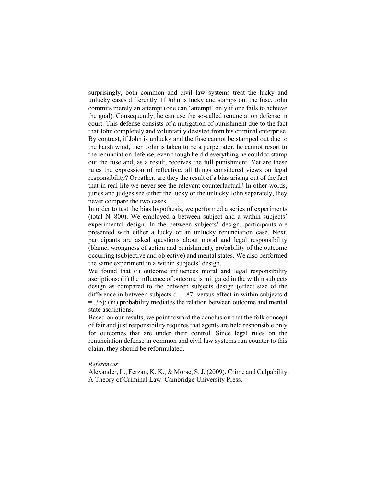surprisingly, both common and civil law systems treat the lucky and unlucky cases differently. If John is lucky and stamps out the fuse, John commits merely an attempt (one can 'attempt' only if one fails to achieve the goal). Consequently, he can use the so-called renunciation defense in court. This defense consists of a mitigation of punishment due to the fact that John completely and voluntarily desisted from his criminal enterprise. By contrast, if John is unlucky and the fuse cannot be stamped out due to the harsh wind, then John is taken to be a perpetrator, he cannot resort to the renunciation defense, even though he did everything he could to stamp out the fuse and, as a result, receives the full punishment. Yet are these rules the expression of reflective, all things considered views on legal responsibility? Or rather, are they the result of a bias arising out of the fact that in real life we never see the relevant counterfactual? In other words, juries and judges see either the lucky or the unlucky John separately, they never compare the two cases.

In order to test the bias hypothesis, we performed a series of experiments (total N=800). We employed a between subject and a within subjects' experimental design. In the between subjects' design, participants are presented with either a lucky or an unlucky renunciation case. Next, participants are asked questions about moral and legal responsibility (blame, wrongness of action and punishment), probability of the outcome occurring (subjective and objective) and mental states. We also performed the same experiment in a within subjects' design.

We found that (i) outcome influences moral and legal responsibility ascriptions; (ii) the influence of outcome is mitigated in the within subjects design as compared to the between subjects design (effect size of the difference in between subjects  $d = 0.87$ ; versus effect in within subjects d = .35); (iii) probability mediates the relation between outcome and mental state ascriptions.

Based on our results, we point toward the conclusion that the folk concept of fair and just responsibility requires that agents are held responsible only for outcomes that are under their control. Since legal rules on the renunciation defense in common and civil law systems run counter to this claim, they should be reformulated.

## *References*:

Alexander, L., Ferzan, K. K., & Morse, S. J. (2009). Crime and Culpability: A Theory of Criminal Law. Cambridge University Press.